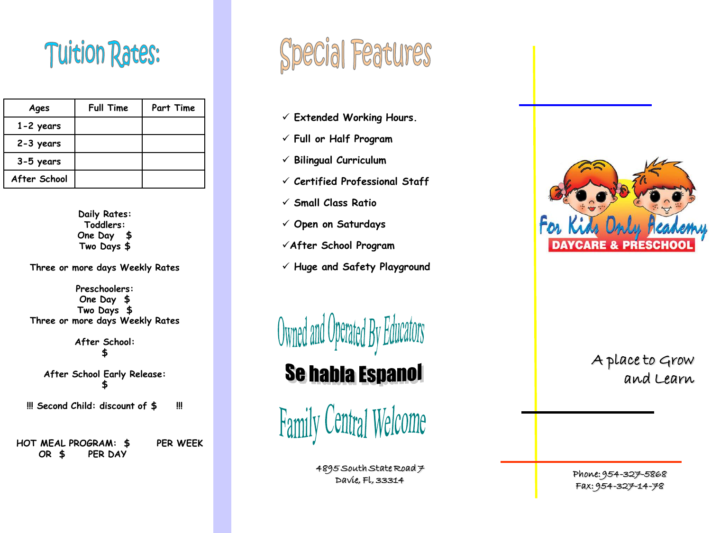## **Tuition Rates:**

| Ages          | <b>Full Time</b> | Part Time |
|---------------|------------------|-----------|
| $1 - 2$ years |                  |           |
| 2-3 years     |                  |           |
| 3-5 years     |                  |           |
| After School  |                  |           |

**Daily Rates: Toddlers: One Day \$ Two Days \$**

**Three or more days Weekly Rates**

**Preschoolers: One Day \$ Two Days \$ Three or more days Weekly Rates**

> **After School: \$**

**After School Early Release: \$** 

**!!! Second Child: discount of \$ !!!**

**HOT MEAL PROGRAM: \$ PER WEEK OR \$ PER DAY**



- **Extended Working Hours.**
- **Full or Half Program**
- **Bilingual Curriculum**
- **Certified Professional Staff**
- **Small Class Ratio**
- **Open on Saturdays**
- **After School Program**
- **Huge and Safety Playground**

Uwned and Uperated

**Se habla Espanol** 

**Family Central Welcome** 

 $4895$  South State Road  $\neq$ Davie, Fl, 33314



A place to Grow and Learn

Phone: 954-327-5868 Fax: 954-327-14-78